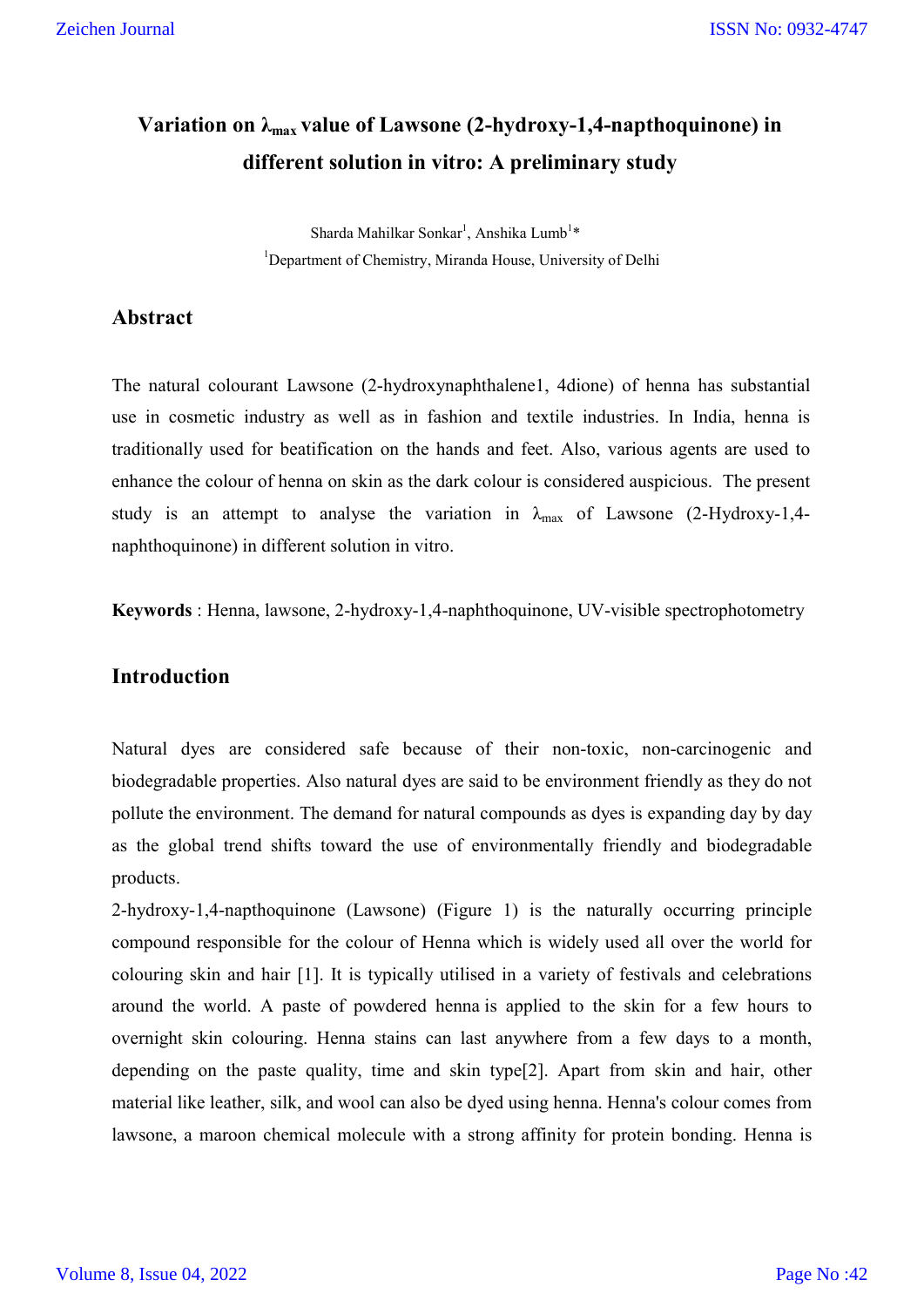# Variation on λ<sub>max</sub> value of Lawsone (2-hydroxy-1,4-napthoquinone) in **different solution in vitro: A preliminary study**

Sharda Mahilkar Sonkar<sup>1</sup>, Anshika Lumb<sup>1</sup>\* <sup>1</sup>Department of Chemistry, Miranda House, University of Delhi

#### **Abstract**

The natural colourant Lawsone (2-hydroxynaphthalene1, 4dione) of henna has substantial use in cosmetic industry as well as in fashion and textile industries. In India, henna is traditionally used for beatification on the hands and feet. Also, various agents are used to enhance the colour of henna on skin as the dark colour is considered auspicious. The present study is an attempt to analyse the variation in  $\lambda_{\text{max}}$  of Lawsone (2-Hydroxy-1,4naphthoquinone) in different solution in vitro.

**Keywords** : Henna, lawsone, 2-hydroxy-1,4-naphthoquinone, UV-visible spectrophotometry

# **Introduction**

Natural dyes are considered safe because of their non-toxic, non-carcinogenic and biodegradable properties. Also natural dyes are said to be environment friendly as they do not pollute the environment. The demand for natural compounds as dyes is expanding day by day as the global trend shifts toward the use of environmentally friendly and biodegradable products.

2-hydroxy-1,4-napthoquinone (Lawsone) (Figure 1) is the naturally occurring principle compound responsible for the colour of Henna which is widely used all over the world for colouring skin and hair [1]. It is typically utilised in a variety of festivals and celebrations around the world. A paste of powdered henna is applied to the skin for a few hours to overnight skin colouring. Henna stains can last anywhere from a few days to a month, depending on the paste quality, time and skin type[2]. Apart from skin and hair, other material like leather, silk, and wool can also be dyed using henna. Henna's colour comes from lawsone, a maroon chemical molecule with a strong affinity for protein bonding. Henna is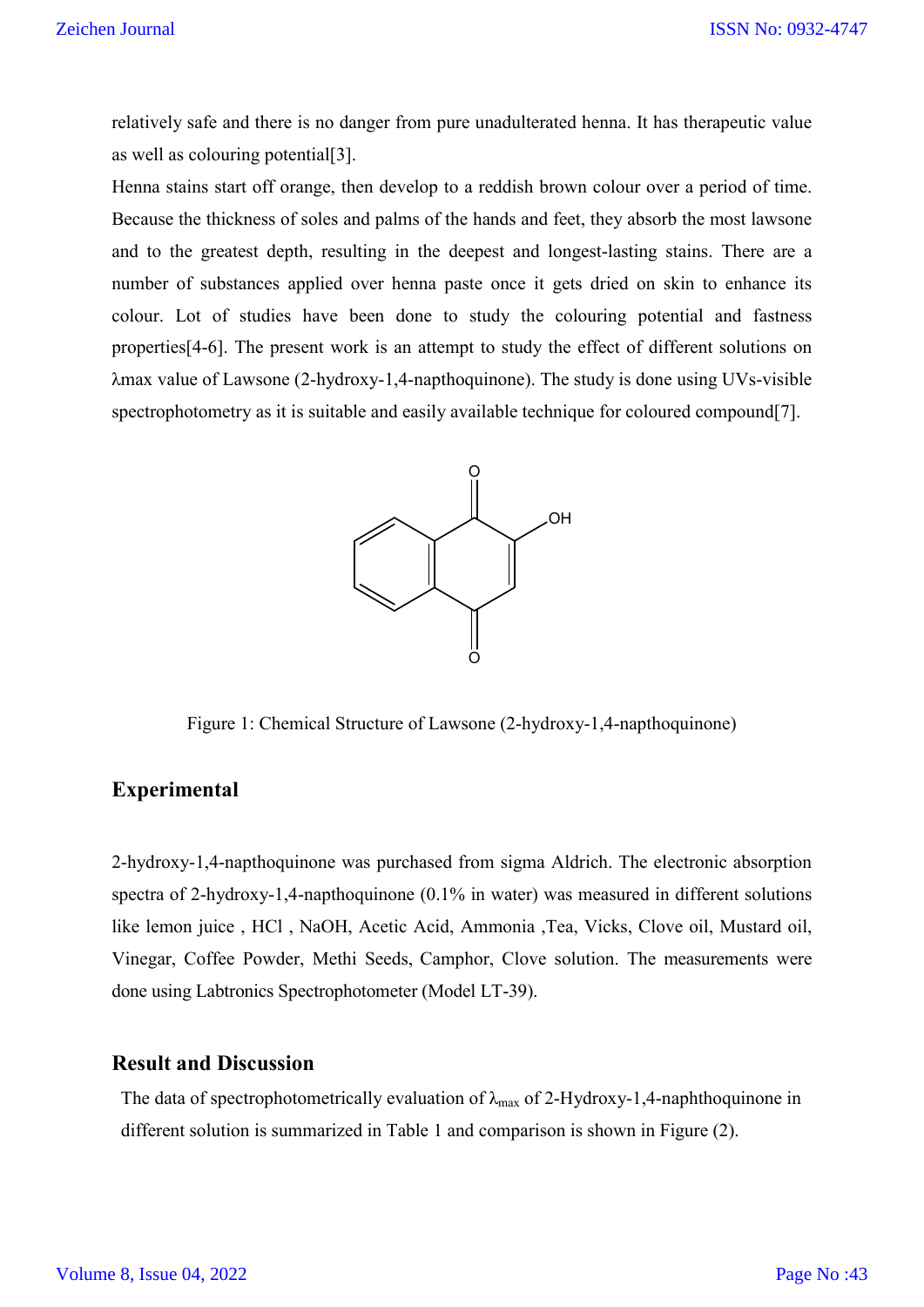relatively safe and there is no danger from pure unadulterated henna. It has therapeutic value as well as colouring potential[3].

Henna stains start off orange, then develop to a reddish brown colour over a period of time. Because the thickness of soles and palms of the hands and feet, they absorb the most lawsone and to the greatest depth, resulting in the deepest and longest-lasting stains. There are a number of substances applied over henna paste once it gets dried on skin to enhance its colour. Lot of studies have been done to study the colouring potential and fastness properties[4-6]. The present work is an attempt to study the effect of different solutions on λmax value of Lawsone (2-hydroxy-1,4-napthoquinone). The study is done using UVs-visible spectrophotometry as it is suitable and easily available technique for coloured compound[7].



Figure 1: Chemical Structure of Lawsone (2-hydroxy-1,4-napthoquinone)

# **Experimental**

2-hydroxy-1,4-napthoquinone was purchased from sigma Aldrich. The electronic absorption spectra of 2-hydroxy-1,4-napthoquinone (0.1% in water) was measured in different solutions like lemon juice , HCl , NaOH, Acetic Acid, Ammonia ,Tea, Vicks, Clove oil, Mustard oil, Vinegar, Coffee Powder, Methi Seeds, Camphor, Clove solution. The measurements were done using Labtronics Spectrophotometer (Model LT-39).

#### **Result and Discussion**

The data of spectrophotometrically evaluation of  $\lambda_{\text{max}}$  of 2-Hydroxy-1,4-naphthoquinone in different solution is summarized in Table 1 and comparison is shown in Figure (2).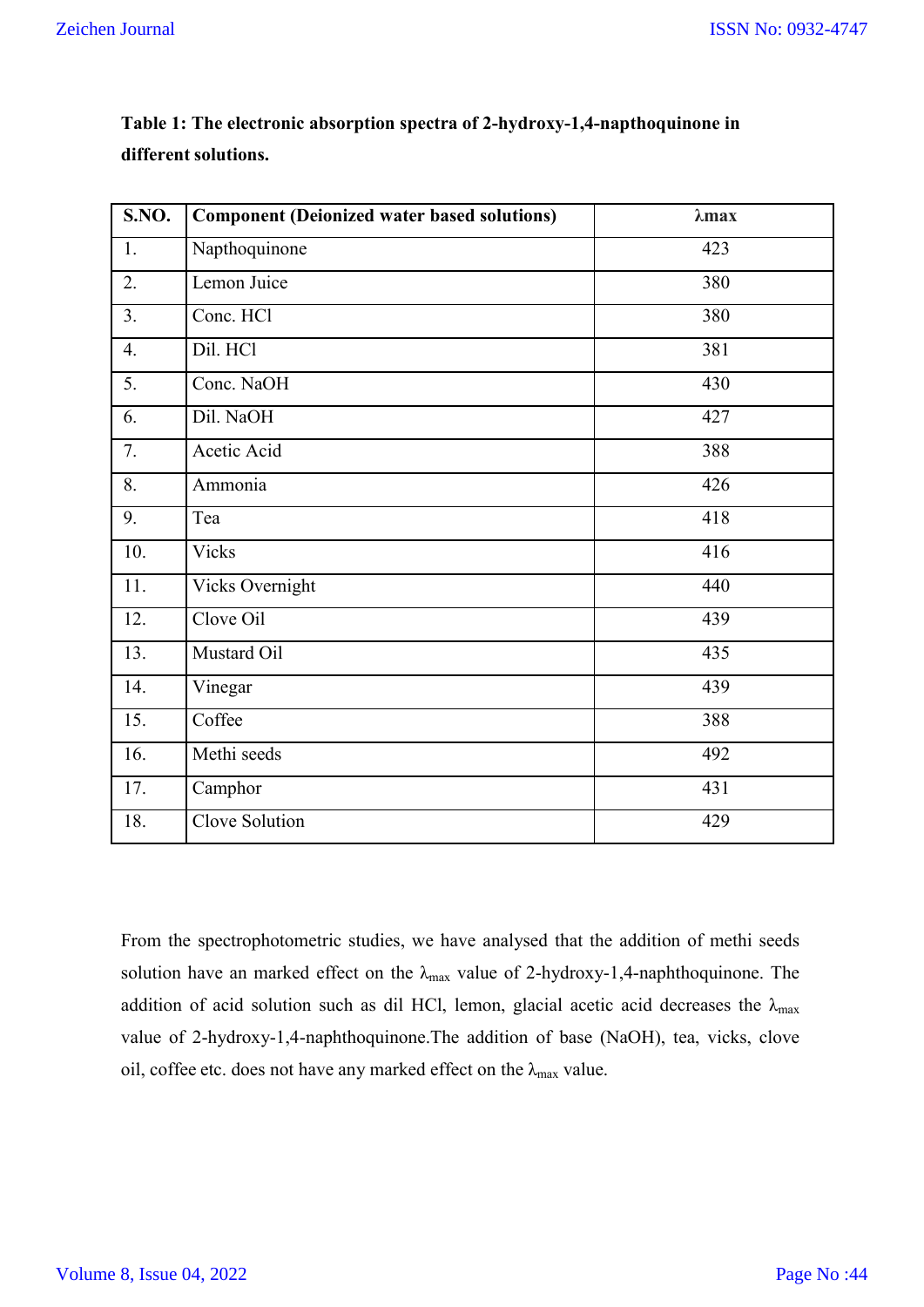| <b>S.NO.</b> | <b>Component (Deionized water based solutions)</b> | $\lambda$ max |
|--------------|----------------------------------------------------|---------------|
| 1.           | Napthoquinone                                      | 423           |
| 2.           | Lemon Juice                                        | 380           |
| 3.           | Conc. HCl                                          | 380           |
| 4.           | Dil. HCl                                           | 381           |
| 5.           | Conc. NaOH                                         | 430           |
| 6.           | Dil. NaOH                                          | 427           |
| 7.           | Acetic Acid                                        | 388           |
| 8.           | Ammonia                                            | 426           |
| 9.           | Tea                                                | 418           |
| 10.          | <b>Vicks</b>                                       | 416           |
| 11.          | Vicks Overnight                                    | 440           |
| 12.          | Clove Oil                                          | 439           |
| 13.          | Mustard Oil                                        | 435           |
| 14.          | Vinegar                                            | 439           |
| 15.          | Coffee                                             | 388           |
| 16.          | Methi seeds                                        | 492           |
| 17.          | Camphor                                            | 431           |
| 18.          | Clove Solution                                     | 429           |

**Table 1: The electronic absorption spectra of 2-hydroxy-1,4-napthoquinone in different solutions.**

From the spectrophotometric studies, we have analysed that the addition of methi seeds solution have an marked effect on the  $\lambda_{\text{max}}$  value of 2-hydroxy-1,4-naphthoquinone. The addition of acid solution such as dil HCl, lemon, glacial acetic acid decreases the  $\lambda_{\text{max}}$ value of 2-hydroxy-1,4-naphthoquinone.The addition of base (NaOH), tea, vicks, clove oil, coffee etc. does not have any marked effect on the  $\lambda_{\text{max}}$  value.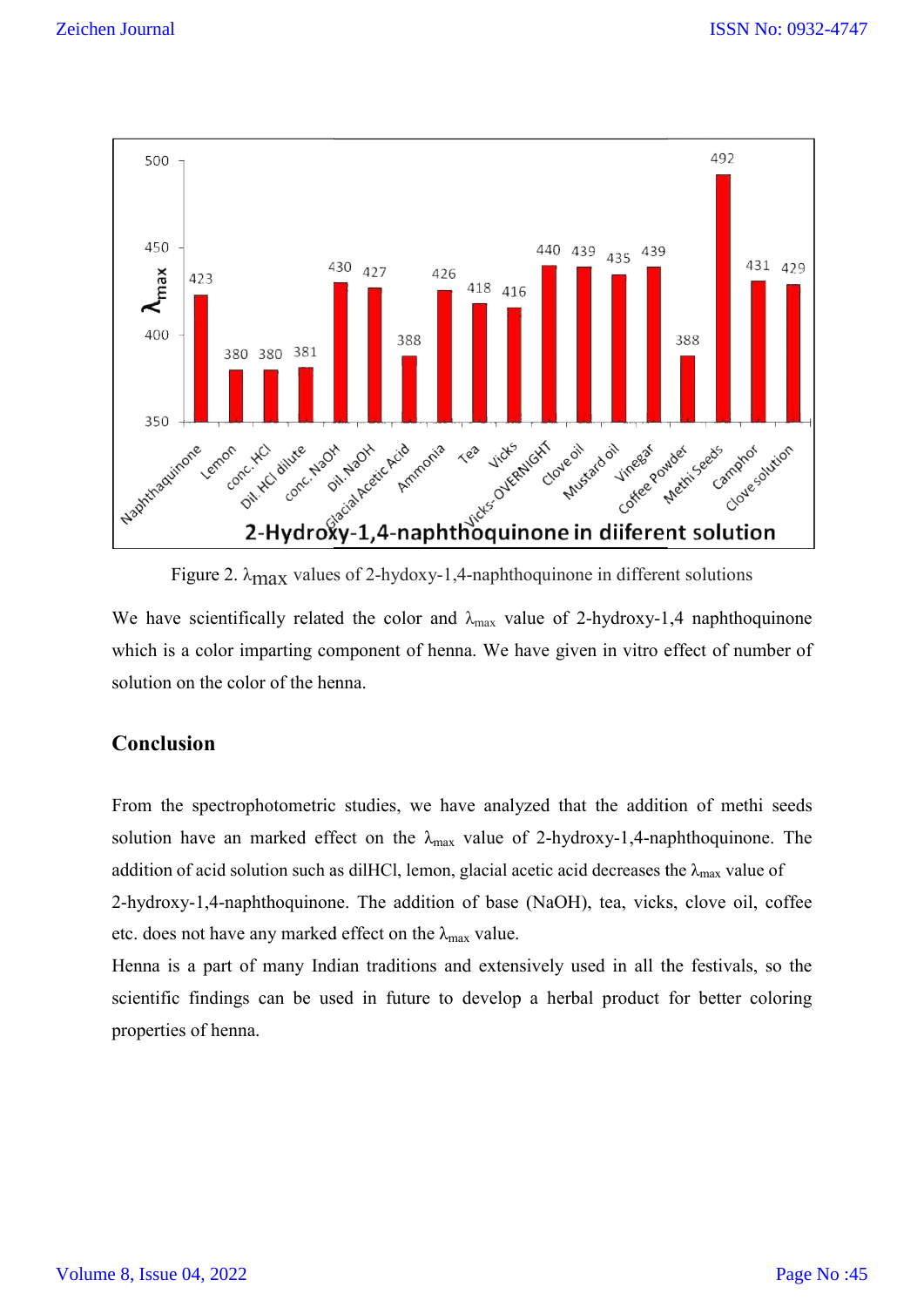

Figure 2. λmax values of 2-hydoxy-1,4-naphthoquinone in different solutions

Figure 2.  $\lambda_{\text{max}}$  values of 2-hydoxy-1,4-naphthoquinone in different solutions<br>We have scientifically related the color and  $\lambda_{\text{max}}$  value of 2-hydroxy-1,4 naphthoquinone which is a color imparting component of henna. We have given in vitro effect of number of solution on the color of the henna.

# **Conclusion**

From the spectrophotometric studies, we have analyzed that the addition of methi seeds solution have an marked effect on the  $\lambda_{\text{max}}$  value of 2-hydroxy-1,4-naphthoquinone. The addition of acid solution such as dilHCl, lemon, glacial acetic acid decreases the  $\lambda_{\max}$  value of 2-hydroxy-1,4-naphthoquinone. The addition of base (NaOH), tea, vicks, clove oil, coffee 2-hydroxy-1,4-naphthoquinone. The addition of base<br>etc. does not have any marked effect on the  $\lambda_{\text{max}}$  value. e henna.<br>etric studies, we have analyzed that the addition of methi<br>effect on the  $\lambda_{\max}$  value of 2-hydroxy-1,4-naphthoquinone. We have given in vitro effect of number of<br>analyzed that the addition of methi seeds<br>lue of 2-hydroxy-1,4-naphthoquinone. The

Henna is a part of many Indian traditions and extensively used in all the festivals, so the scientific findings can be used in future to develop a herbal product for better coloring properties of henna.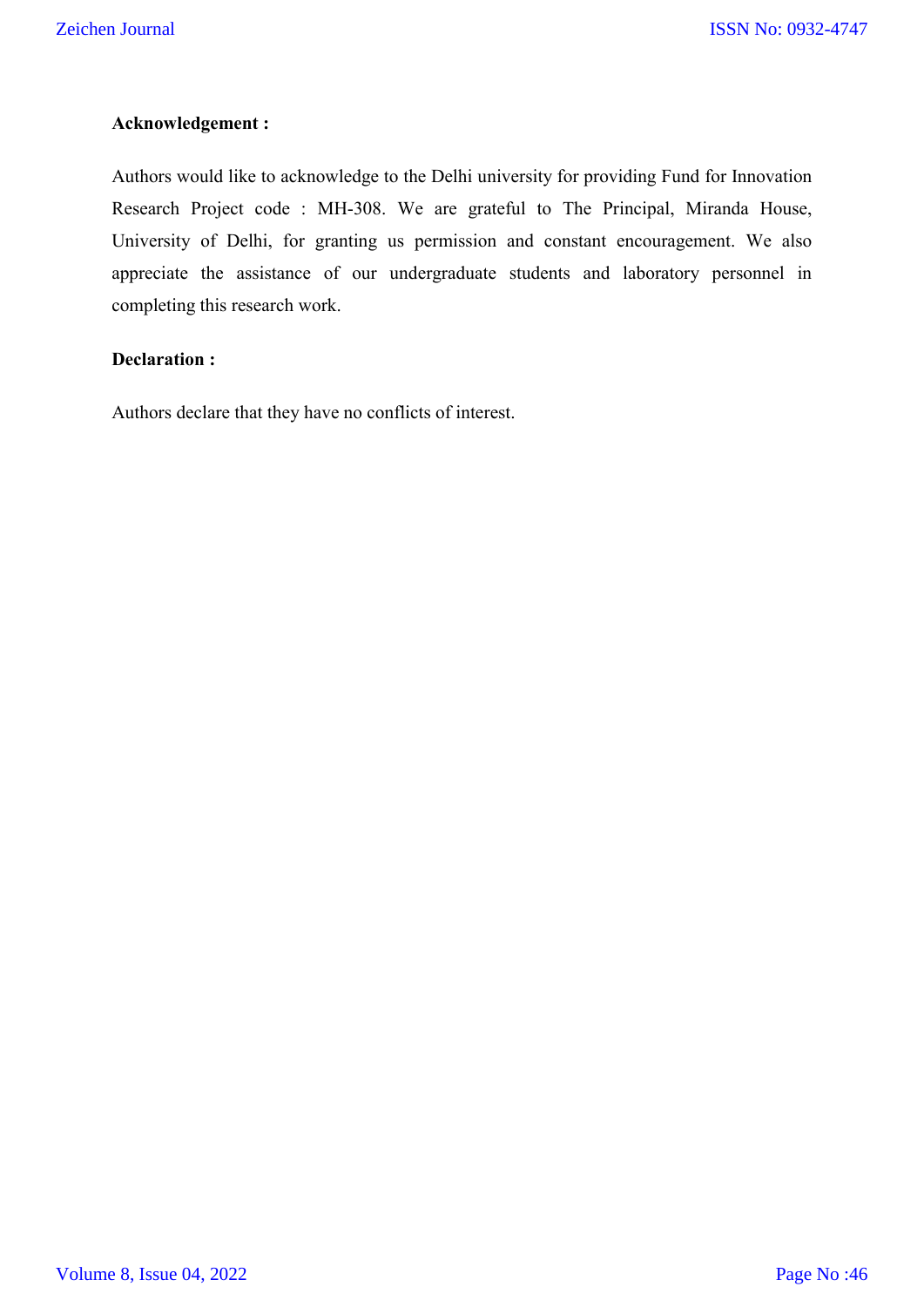#### **Acknowledgement :**

Authors would like to acknowledge to the Delhi university for providing Fund for Innovation Research Project code : MH-308. We are grateful to The Principal, Miranda House, University of Delhi, for granting us permission and constant encouragement. We also appreciate the assistance of our undergraduate students and laboratory personnel in completing this research work.

#### **Declaration :**

Authors declare that they have no conflicts of interest.